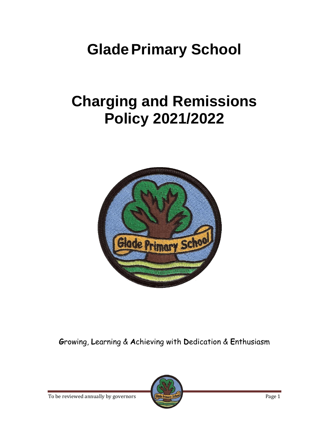# **Glade Primary School**

# **Charging and Remissions Policy 2021/2022**



**G**rowing, **L**earning & **A**chieving with **D**edication & **E**nthusiasm

To be reviewed annually by governors **Figure Primary School** 

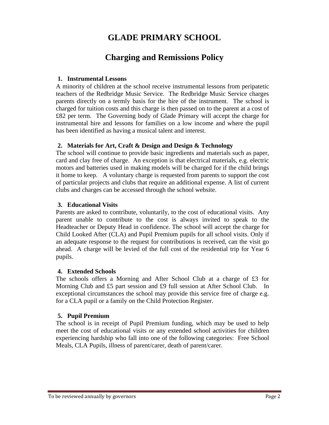## **GLADE PRIMARY SCHOOL**

## **Charging and Remissions Policy**

#### **1. Instrumental Lessons**

A minority of children at the school receive instrumental lessons from peripatetic teachers of the Redbridge Music Service. The Redbridge Music Service charges parents directly on a termly basis for the hire of the instrument. The school is charged for tuition costs and this charge is then passed on to the parent at a cost of £82 per term. The Governing body of Glade Primary will accept the charge for instrumental hire and lessons for families on a low income and where the pupil has been identified as having a musical talent and interest.

#### **2. Materials for Art, Craft & Design and Design & Technology**

The school will continue to provide basic ingredients and materials such as paper, card and clay free of charge. An exception is that electrical materials, e.g. electric motors and batteries used in making models will be charged for if the child brings it home to keep. A voluntary charge is requested from parents to support the cost of particular projects and clubs that require an additional expense. A list of current clubs and charges can be accessed through the school website.

#### **3. Educational Visits**

Parents are asked to contribute, voluntarily, to the cost of educational visits. Any parent unable to contribute to the cost is always invited to speak to the Headteacher or Deputy Head in confidence. The school will accept the charge for Child Looked After (CLA) and Pupil Premium pupils for all school visits. Only if an adequate response to the request for contributions is received, can the visit go ahead. A charge will be levied of the full cost of the residential trip for Year 6 pupils.

#### **4. Extended Schools**

The schools offers a Morning and After School Club at a charge of £3 for Morning Club and £5 part session and £9 full session at After School Club. In exceptional circumstances the school may provide this service free of charge e.g. for a CLA pupil or a family on the Child Protection Register.

#### **5. Pupil Premium**

The school is in receipt of Pupil Premium funding, which may be used to help meet the cost of educational visits or any extended school activities for children experiencing hardship who fall into one of the following categories: Free School Meals, CLA Pupils, illness of parent/carer, death of parent/carer.